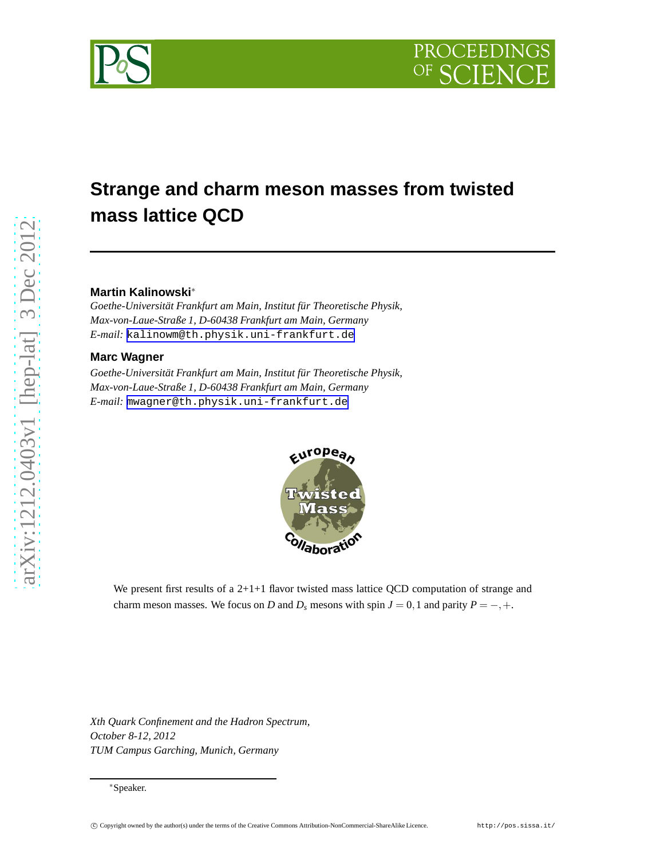



# **Strange and charm meson masses from twisted mass lattice QCD**

## **Martin Kalinowski**<sup>∗</sup>

*Goethe-Universität Frankfurt am Main, Institut für Theoretische Physik, Max-von-Laue-Straße 1, D-60438 Frankfurt am Main, Germany E-mail:* [kalinowm@th.physik.uni-frankfurt.de](mailto:kalinowm@th.physik.uni-frankfurt.de)

### **Marc Wagner**

*Goethe-Universität Frankfurt am Main, Institut für Theoretische Physik, Max-von-Laue-Straße 1, D-60438 Frankfurt am Main, Germany E-mail:* [mwagner@th.physik.uni-frankfurt.de](mailto:mwagner@th.physik.uni-frankfurt.de)



We present first results of a  $2+1+1$  flavor twisted mass lattice QCD computation of strange and charm meson masses. We focus on *D* and  $D_s$  mesons with spin  $J = 0, 1$  and parity  $P = -, +$ .

*Xth Quark Confinement and the Hadron Spectrum, October 8-12, 2012 TUM Campus Garching, Munich, Germany*

<sup>∗</sup>Speaker.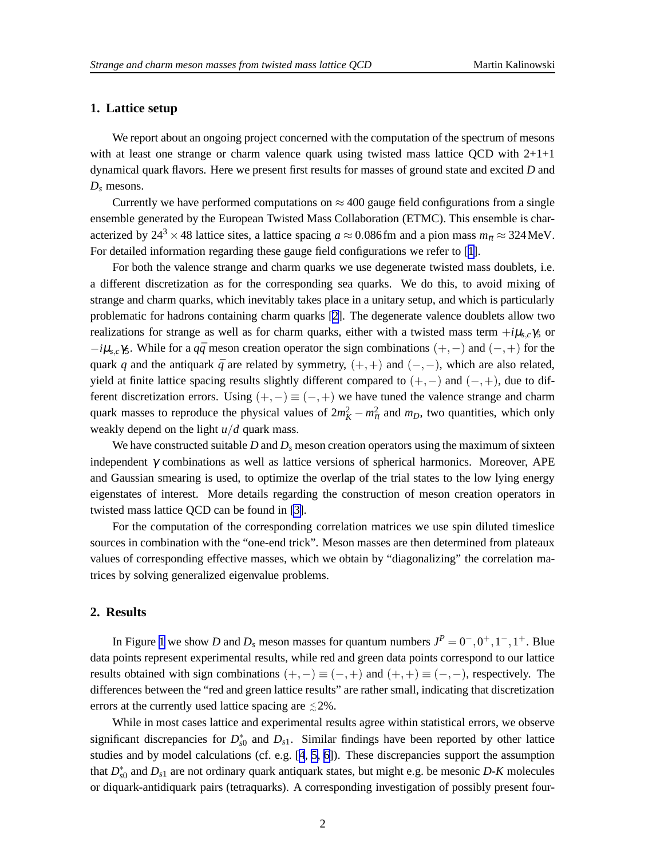## **1. Lattice setup**

We report about an ongoing project concerned with the computation of the spectrum of mesons with at least one strange or charm valence quark using twisted mass lattice QCD with  $2+1+1$ dynamical quark flavors. Here we present first results for masses of ground state and excited *D* and *D<sup>s</sup>* mesons.

Currently we have performed computations on  $\approx 400$  gauge field configurations from a single ensemble generated by the European Twisted Mass Collaboration (ETMC). This ensemble is characterized by 24<sup>3</sup> × 48 lattice sites, a lattice spacing  $a \approx 0.086$  fm and a pion mass  $m_{\pi} \approx 324$  MeV. For detailed information regarding these gauge field configurations we refer to [[1](#page-2-0)].

For both the valence strange and charm quarks we use degenerate twisted mass doublets, i.e. a different discretization as for the corresponding sea quarks. We do this, to avoid mixing of strange and charm quarks, which inevitably takes place in a unitary setup, and which is particularly problematic for hadrons containing charm quarks [[2](#page-2-0)]. The degenerate valence doublets allow two realizations for strange as well as for charm quarks, either with a twisted mass term  $+i\mu_{s,c}\gamma_5$  or  $-i\mu_{s,c}$ γ5. While for a  $q\bar{q}$  meson creation operator the sign combinations (+,−) and (−,+) for the quark *q* and the antiquark  $\bar{q}$  are related by symmetry,  $(+,+)$  and  $(-,-)$ , which are also related, yield at finite lattice spacing results slightly different compared to  $(+,-)$  and  $(-,+)$ , due to different discretization errors. Using  $(+,-) \equiv (-,+)$  we have tuned the valence strange and charm quark masses to reproduce the physical values of  $2m_K^2 - m_\pi^2$  and  $m_D$ , two quantities, which only weakly depend on the light *u*/*d* quark mass.

We have constructed suitable *D* and  $D_s$  meson creation operators using the maximum of sixteen independent  $\gamma$  combinations as well as lattice versions of spherical harmonics. Moreover, APE and Gaussian smearing is used, to optimize the overlap of the trial states to the low lying energy eigenstates of interest. More details regarding the construction of meson creation operators in twisted mass lattice QCD can be found in [\[3\]](#page-2-0).

For the computation of the corresponding correlation matrices we use spin diluted timeslice sources in combination with the "one-end trick". Meson masses are then determined from plateaux values of corresponding effective masses, which we obtain by "diagonalizing" the correlation matrices by solving generalized eigenvalue problems.

#### **2. Results**

In Figure [1](#page-2-0) we show *D* and  $D_s$  meson masses for quantum numbers  $J^P = 0^-, 0^+, 1^-, 1^+$ . Blue data points represent experimental results, while red and green data points correspond to our lattice results obtained with sign combinations  $(+,-) \equiv (-,+)$  and  $(+,+) \equiv (-,-)$ , respectively. The differences between the "red and green lattice results" are rather small, indicating that discretization errors at the currently used lattice spacing are  $\leq 2\%$ .

While in most cases lattice and experimental results agree within statistical errors, we observe significant discrepancies for *D* ∗  $_{s0}^{*}$  and  $D_{s1}$ . Similar findings have been reported by other lattice studies and by model calculations (cf. e.g. [\[4](#page-2-0), [5, 6](#page-2-0)]). These discrepancies support the assumption that  $D_{\rm s}^*$ *s*0 and *Ds*<sup>1</sup> are not ordinary quark antiquark states, but might e.g. be mesonic *D*-*K* molecules or diquark-antidiquark pairs (tetraquarks). A corresponding investigation of possibly present four-